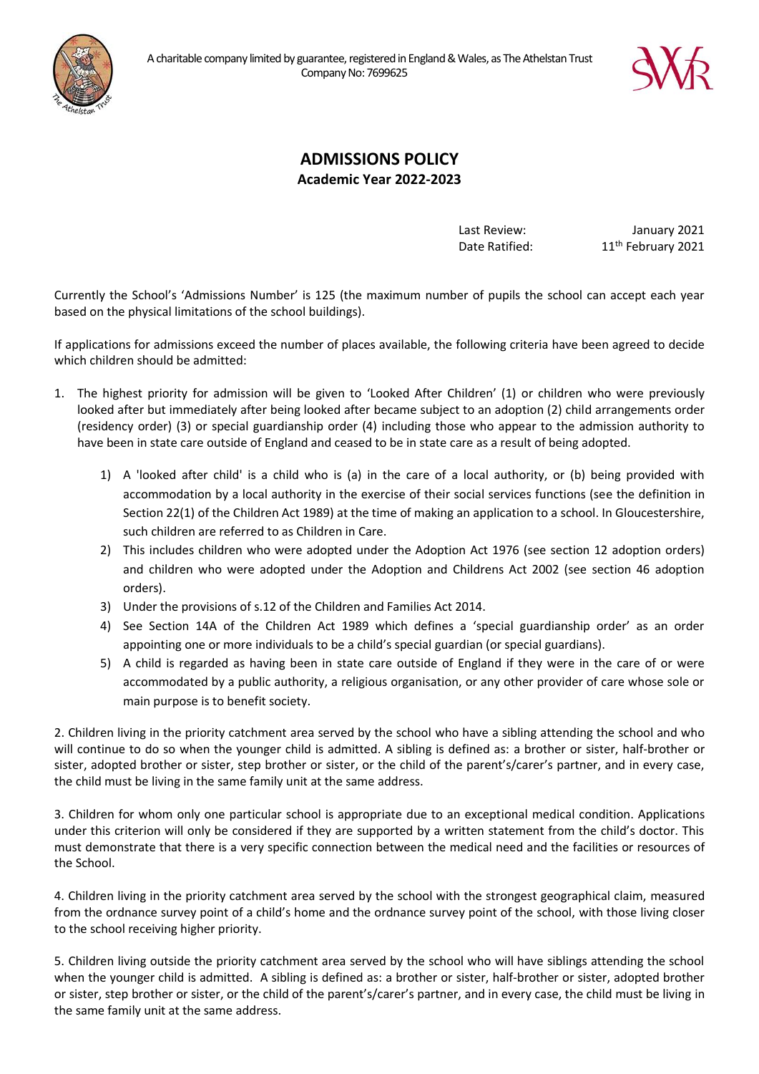



# **ADMISSIONS POLICY Academic Year 2022-2023**

Last Review: January 2021 Date Ratified: 11<sup>th</sup> February 2021

Currently the School's 'Admissions Number' is 125 (the maximum number of pupils the school can accept each year based on the physical limitations of the school buildings).

If applications for admissions exceed the number of places available, the following criteria have been agreed to decide which children should be admitted:

- 1. The highest priority for admission will be given to 'Looked After Children' (1) or children who were previously looked after but immediately after being looked after became subject to an adoption (2) child arrangements order (residency order) (3) or special guardianship order (4) including those who appear to the admission authority to have been in state care outside of England and ceased to be in state care as a result of being adopted.
	- 1) A 'looked after child' is a child who is (a) in the care of a local authority, or (b) being provided with accommodation by a local authority in the exercise of their social services functions (see the definition in Section 22(1) of the Children Act 1989) at the time of making an application to a school. In Gloucestershire, such children are referred to as Children in Care.
	- 2) This includes children who were adopted under the Adoption Act 1976 (see section 12 adoption orders) and children who were adopted under the Adoption and Childrens Act 2002 (see section 46 adoption orders).
	- 3) Under the provisions of s.12 of the Children and Families Act 2014.
	- 4) See Section 14A of the Children Act 1989 which defines a 'special guardianship order' as an order appointing one or more individuals to be a child's special guardian (or special guardians).
	- 5) A child is regarded as having been in state care outside of England if they were in the care of or were accommodated by a public authority, a religious organisation, or any other provider of care whose sole or main purpose is to benefit society.

2. Children living in the priority catchment area served by the school who have a sibling attending the school and who will continue to do so when the younger child is admitted. A sibling is defined as: a brother or sister, half-brother or sister, adopted brother or sister, step brother or sister, or the child of the parent's/carer's partner, and in every case, the child must be living in the same family unit at the same address.

3. Children for whom only one particular school is appropriate due to an exceptional medical condition. Applications under this criterion will only be considered if they are supported by a written statement from the child's doctor. This must demonstrate that there is a very specific connection between the medical need and the facilities or resources of the School.

4. Children living in the priority catchment area served by the school with the strongest geographical claim, measured from the ordnance survey point of a child's home and the ordnance survey point of the school, with those living closer to the school receiving higher priority.

5. Children living outside the priority catchment area served by the school who will have siblings attending the school when the younger child is admitted. A sibling is defined as: a brother or sister, half-brother or sister, adopted brother or sister, step brother or sister, or the child of the parent's/carer's partner, and in every case, the child must be living in the same family unit at the same address.